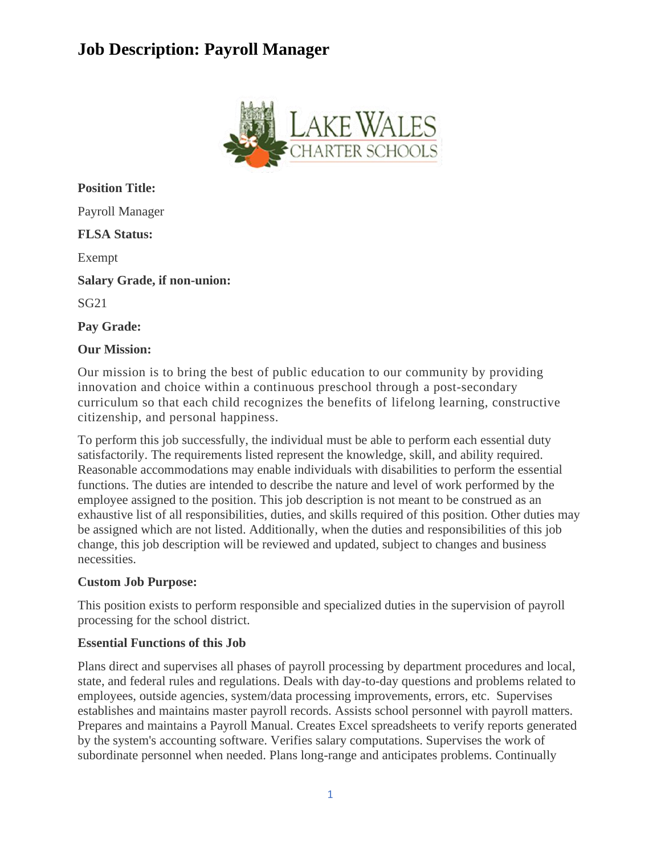# **Job Description: Payroll Manager**



**Position Title:** Payroll Manager **FLSA Status:** Exempt **Salary Grade, if non-union:** SG21 **Pay Grade:**

### **Our Mission:**

Our mission is to bring the best of public education to our community by providing innovation and choice within a continuous preschool through a post-secondary curriculum so that each child recognizes the benefits of lifelong learning, constructive citizenship, and personal happiness.

To perform this job successfully, the individual must be able to perform each essential duty satisfactorily. The requirements listed represent the knowledge, skill, and ability required. Reasonable accommodations may enable individuals with disabilities to perform the essential functions. The duties are intended to describe the nature and level of work performed by the employee assigned to the position. This job description is not meant to be construed as an exhaustive list of all responsibilities, duties, and skills required of this position. Other duties may be assigned which are not listed. Additionally, when the duties and responsibilities of this job change, this job description will be reviewed and updated, subject to changes and business necessities.

#### **Custom Job Purpose:**

This position exists to perform responsible and specialized duties in the supervision of payroll processing for the school district.

#### **Essential Functions of this Job**

Plans direct and supervises all phases of payroll processing by department procedures and local, state, and federal rules and regulations. Deals with day-to-day questions and problems related to employees, outside agencies, system/data processing improvements, errors, etc. Supervises establishes and maintains master payroll records. Assists school personnel with payroll matters. Prepares and maintains a Payroll Manual. Creates Excel spreadsheets to verify reports generated by the system's accounting software. Verifies salary computations. Supervises the work of subordinate personnel when needed. Plans long-range and anticipates problems. Continually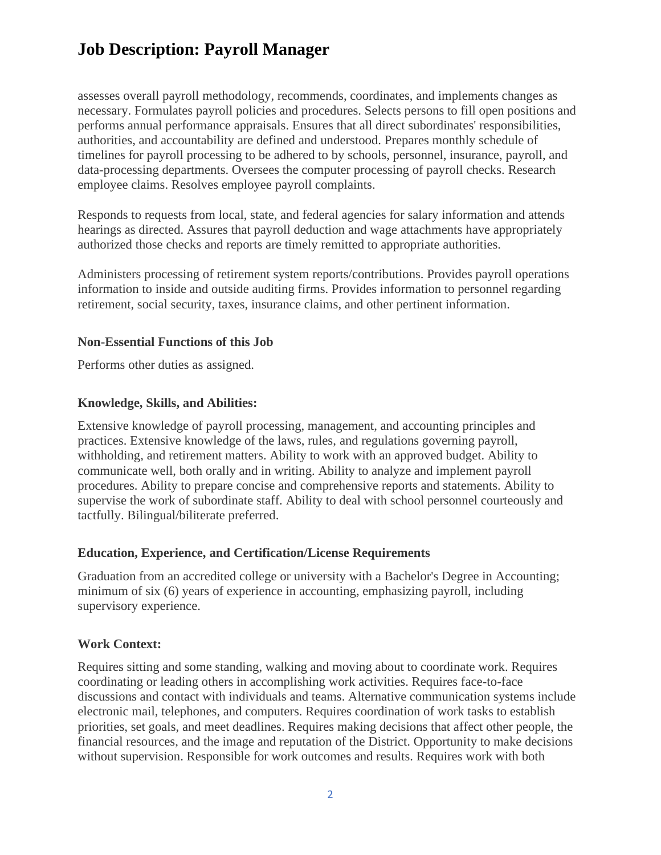# **Job Description: Payroll Manager**

assesses overall payroll methodology, recommends, coordinates, and implements changes as necessary. Formulates payroll policies and procedures. Selects persons to fill open positions and performs annual performance appraisals. Ensures that all direct subordinates' responsibilities, authorities, and accountability are defined and understood. Prepares monthly schedule of timelines for payroll processing to be adhered to by schools, personnel, insurance, payroll, and data-processing departments. Oversees the computer processing of payroll checks. Research employee claims. Resolves employee payroll complaints.

Responds to requests from local, state, and federal agencies for salary information and attends hearings as directed. Assures that payroll deduction and wage attachments have appropriately authorized those checks and reports are timely remitted to appropriate authorities.

Administers processing of retirement system reports/contributions. Provides payroll operations information to inside and outside auditing firms. Provides information to personnel regarding retirement, social security, taxes, insurance claims, and other pertinent information.

### **Non-Essential Functions of this Job**

Performs other duties as assigned.

### **Knowledge, Skills, and Abilities:**

Extensive knowledge of payroll processing, management, and accounting principles and practices. Extensive knowledge of the laws, rules, and regulations governing payroll, withholding, and retirement matters. Ability to work with an approved budget. Ability to communicate well, both orally and in writing. Ability to analyze and implement payroll procedures. Ability to prepare concise and comprehensive reports and statements. Ability to supervise the work of subordinate staff. Ability to deal with school personnel courteously and tactfully. Bilingual/biliterate preferred.

# **Education, Experience, and Certification/License Requirements**

Graduation from an accredited college or university with a Bachelor's Degree in Accounting; minimum of six (6) years of experience in accounting, emphasizing payroll, including supervisory experience.

# **Work Context:**

Requires sitting and some standing, walking and moving about to coordinate work. Requires coordinating or leading others in accomplishing work activities. Requires face-to-face discussions and contact with individuals and teams. Alternative communication systems include electronic mail, telephones, and computers. Requires coordination of work tasks to establish priorities, set goals, and meet deadlines. Requires making decisions that affect other people, the financial resources, and the image and reputation of the District. Opportunity to make decisions without supervision. Responsible for work outcomes and results. Requires work with both